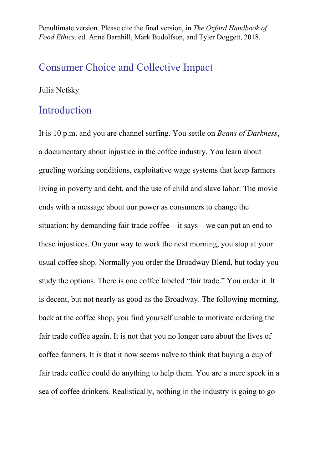Penultimate version. Please cite the final version, in *The Oxford Handbook of Food Ethics*, ed. Anne Barnhill, Mark Budolfson, and Tyler Doggett, 2018.

# Consumer Choice and Collective Impact

#### Julia Nefsky

### Introduction

It is 10 p.m. and you are channel surfing. You settle on *Beans of Darkness*, a documentary about injustice in the coffee industry. You learn about grueling working conditions, exploitative wage systems that keep farmers living in poverty and debt, and the use of child and slave labor. The movie ends with a message about our power as consumers to change the situation: by demanding fair trade coffee—it says—we can put an end to these injustices. On your way to work the next morning, you stop at your usual coffee shop. Normally you order the Broadway Blend, but today you study the options. There is one coffee labeled "fair trade." You order it. It is decent, but not nearly as good as the Broadway. The following morning, back at the coffee shop, you find yourself unable to motivate ordering the fair trade coffee again. It is not that you no longer care about the lives of coffee farmers. It is that it now seems naïve to think that buying a cup of fair trade coffee could do anything to help them. You are a mere speck in a sea of coffee drinkers. Realistically, nothing in the industry is going to go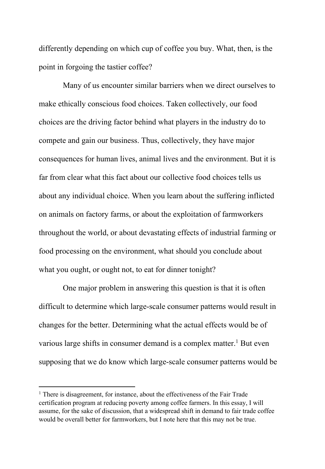differently depending on which cup of coffee you buy. What, then, is the point in forgoing the tastier coffee?

Many of us encounter similar barriers when we direct ourselves to make ethically conscious food choices. Taken collectively, our food choices are the driving factor behind what players in the industry do to compete and gain our business. Thus, collectively, they have major consequences for human lives, animal lives and the environment. But it is far from clear what this fact about our collective food choices tells us about any individual choice. When you learn about the suffering inflicted on animals on factory farms, or about the exploitation of farmworkers throughout the world, or about devastating effects of industrial farming or food processing on the environment, what should you conclude about what you ought, or ought not, to eat for dinner tonight?

One major problem in answering this question is that it is often difficult to determine which large-scale consumer patterns would result in changes for the better. Determining what the actual effects would be of various large shifts in consumer demand is a complex matter.<sup>1</sup> But even supposing that we do know which large-scale consumer patterns would be

 $1$  There is disagreement, for instance, about the effectiveness of the Fair Trade certification program at reducing poverty among coffee farmers. In this essay, I will assume, for the sake of discussion, that a widespread shift in demand to fair trade coffee would be overall better for farmworkers, but I note here that this may not be true.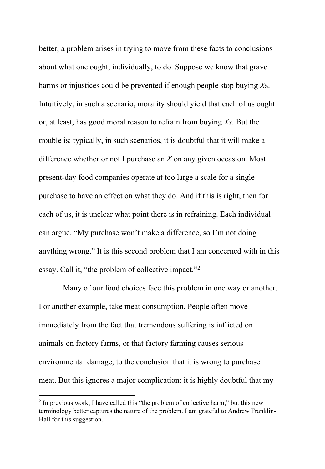better, a problem arises in trying to move from these facts to conclusions about what one ought, individually, to do. Suppose we know that grave harms or injustices could be prevented if enough people stop buying *X*s. Intuitively, in such a scenario, morality should yield that each of us ought or, at least, has good moral reason to refrain from buying *Xs*. But the trouble is: typically, in such scenarios, it is doubtful that it will make a difference whether or not I purchase an *X* on any given occasion. Most present-day food companies operate at too large a scale for a single purchase to have an effect on what they do. And if this is right, then for each of us, it is unclear what point there is in refraining. Each individual can argue, "My purchase won't make a difference, so I'm not doing anything wrong." It is this second problem that I am concerned with in this essay. Call it, "the problem of collective impact."2

Many of our food choices face this problem in one way or another. For another example, take meat consumption. People often move immediately from the fact that tremendous suffering is inflicted on animals on factory farms, or that factory farming causes serious environmental damage, to the conclusion that it is wrong to purchase meat. But this ignores a major complication: it is highly doubtful that my

 $2$  In previous work, I have called this "the problem of collective harm," but this new terminology better captures the nature of the problem. I am grateful to Andrew Franklin-Hall for this suggestion.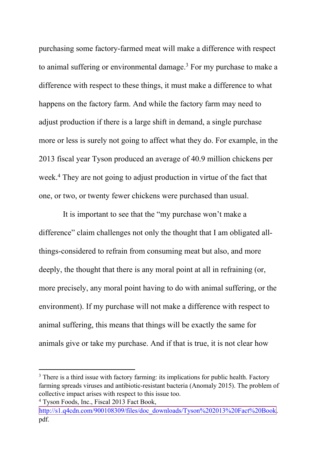purchasing some factory-farmed meat will make a difference with respect to animal suffering or environmental damage.<sup>3</sup> For my purchase to make a difference with respect to these things, it must make a difference to what happens on the factory farm. And while the factory farm may need to adjust production if there is a large shift in demand, a single purchase more or less is surely not going to affect what they do. For example, in the 2013 fiscal year Tyson produced an average of 40.9 million chickens per week.<sup>4</sup> They are not going to adjust production in virtue of the fact that one, or two, or twenty fewer chickens were purchased than usual.

It is important to see that the "my purchase won't make a difference" claim challenges not only the thought that I am obligated allthings-considered to refrain from consuming meat but also, and more deeply, the thought that there is any moral point at all in refraining (or, more precisely, any moral point having to do with animal suffering, or the environment). If my purchase will not make a difference with respect to animal suffering, this means that things will be exactly the same for animals give or take my purchase. And if that is true, it is not clear how

http://s1.q4cdn.com/900108309/files/doc\_downloads/Tyson%202013%20Fact%20Book. pdf.

<sup>&</sup>lt;sup>3</sup> There is a third issue with factory farming: its implications for public health. Factory farming spreads viruses and antibiotic-resistant bacteria (Anomaly 2015). The problem of collective impact arises with respect to this issue too. <sup>4</sup> Tyson Foods, Inc., Fiscal 2013 Fact Book,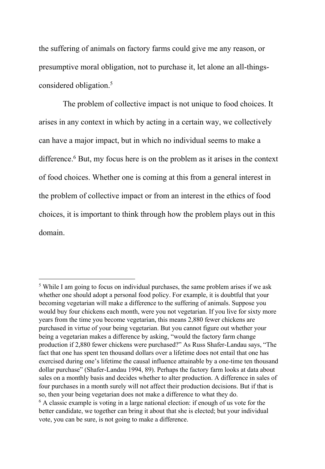the suffering of animals on factory farms could give me any reason, or presumptive moral obligation, not to purchase it, let alone an all-thingsconsidered obligation.<sup>5</sup>

The problem of collective impact is not unique to food choices. It arises in any context in which by acting in a certain way, we collectively can have a major impact, but in which no individual seems to make a difference.<sup>6</sup> But, my focus here is on the problem as it arises in the context of food choices. Whether one is coming at this from a general interest in the problem of collective impact or from an interest in the ethics of food choices, it is important to think through how the problem plays out in this domain.

<sup>5</sup> While I am going to focus on individual purchases, the same problem arises if we ask whether one should adopt a personal food policy. For example, it is doubtful that your becoming vegetarian will make a difference to the suffering of animals. Suppose you would buy four chickens each month, were you not vegetarian. If you live for sixty more years from the time you become vegetarian, this means 2,880 fewer chickens are purchased in virtue of your being vegetarian. But you cannot figure out whether your being a vegetarian makes a difference by asking, "would the factory farm change production if 2,880 fewer chickens were purchased?" As Russ Shafer-Landau says, "The fact that one has spent ten thousand dollars over a lifetime does not entail that one has exercised during one's lifetime the causal influence attainable by a one-time ten thousand dollar purchase" (Shafer-Landau 1994, 89). Perhaps the factory farm looks at data about sales on a monthly basis and decides whether to alter production. A difference in sales of four purchases in a month surely will not affect their production decisions. But if that is so, then your being vegetarian does not make a difference to what they do.  $6$  A classic example is voting in a large national election: if enough of us vote for the better candidate, we together can bring it about that she is elected; but your individual vote, you can be sure, is not going to make a difference.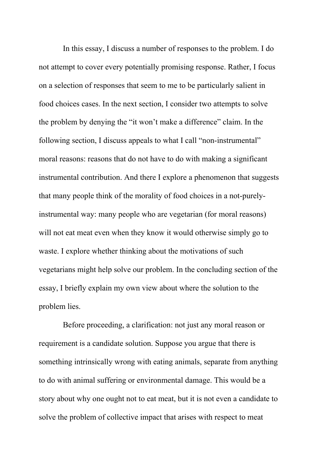In this essay, I discuss a number of responses to the problem. I do not attempt to cover every potentially promising response. Rather, I focus on a selection of responses that seem to me to be particularly salient in food choices cases. In the next section, I consider two attempts to solve the problem by denying the "it won't make a difference" claim. In the following section, I discuss appeals to what I call "non-instrumental" moral reasons: reasons that do not have to do with making a significant instrumental contribution. And there I explore a phenomenon that suggests that many people think of the morality of food choices in a not-purelyinstrumental way: many people who are vegetarian (for moral reasons) will not eat meat even when they know it would otherwise simply go to waste. I explore whether thinking about the motivations of such vegetarians might help solve our problem. In the concluding section of the essay, I briefly explain my own view about where the solution to the problem lies.

Before proceeding, a clarification: not just any moral reason or requirement is a candidate solution. Suppose you argue that there is something intrinsically wrong with eating animals, separate from anything to do with animal suffering or environmental damage. This would be a story about why one ought not to eat meat, but it is not even a candidate to solve the problem of collective impact that arises with respect to meat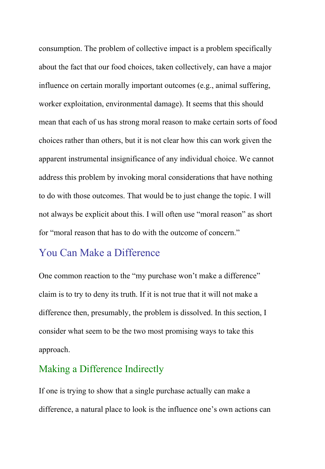consumption. The problem of collective impact is a problem specifically about the fact that our food choices, taken collectively, can have a major influence on certain morally important outcomes (e.g., animal suffering, worker exploitation, environmental damage). It seems that this should mean that each of us has strong moral reason to make certain sorts of food choices rather than others, but it is not clear how this can work given the apparent instrumental insignificance of any individual choice. We cannot address this problem by invoking moral considerations that have nothing to do with those outcomes. That would be to just change the topic. I will not always be explicit about this. I will often use "moral reason" as short for "moral reason that has to do with the outcome of concern."

# You Can Make a Difference

One common reaction to the "my purchase won't make a difference" claim is to try to deny its truth. If it is not true that it will not make a difference then, presumably, the problem is dissolved. In this section, I consider what seem to be the two most promising ways to take this approach.

## Making a Difference Indirectly

If one is trying to show that a single purchase actually can make a difference, a natural place to look is the influence one's own actions can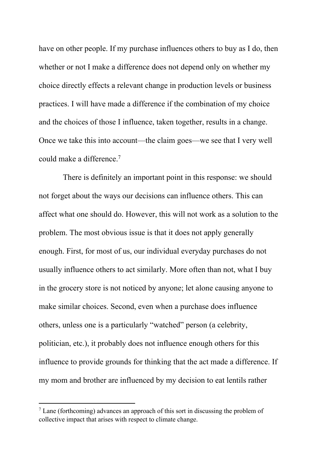have on other people. If my purchase influences others to buy as I do, then whether or not I make a difference does not depend only on whether my choice directly effects a relevant change in production levels or business practices. I will have made a difference if the combination of my choice and the choices of those I influence, taken together, results in a change. Once we take this into account—the claim goes—we see that I very well could make a difference.7

There is definitely an important point in this response: we should not forget about the ways our decisions can influence others. This can affect what one should do. However, this will not work as a solution to the problem. The most obvious issue is that it does not apply generally enough. First, for most of us, our individual everyday purchases do not usually influence others to act similarly. More often than not, what I buy in the grocery store is not noticed by anyone; let alone causing anyone to make similar choices. Second, even when a purchase does influence others, unless one is a particularly "watched" person (a celebrity, politician, etc.), it probably does not influence enough others for this influence to provide grounds for thinking that the act made a difference. If my mom and brother are influenced by my decision to eat lentils rather

 $<sup>7</sup>$  Lane (forthcoming) advances an approach of this sort in discussing the problem of</sup> collective impact that arises with respect to climate change.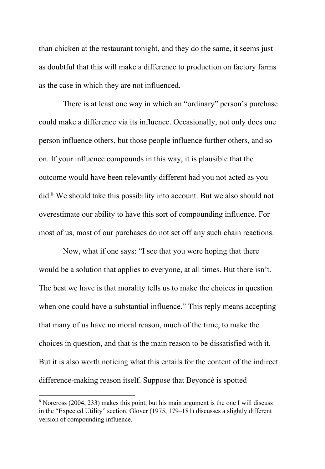than chicken at the restaurant tonight, and they do the same, it seems just as doubtful that this will make a difference to production on factory farms as the case in which they are not influenced.

There is at least one way in which an "ordinary" person's purchase could make a difference via its influence. Occasionally, not only does one person influence others, but those people influence further others, and so on. If your influence compounds in this way, it is plausible that the outcome would have been relevantly different had you not acted as you did.8 We should take this possibility into account. But we also should not overestimate our ability to have this sort of compounding influence. For most of us, most of our purchases do not set off any such chain reactions.

Now, what if one says: "I see that you were hoping that there would be a solution that applies to everyone, at all times. But there isn't. The best we have is that morality tells us to make the choices in question when one could have a substantial influence." This reply means accepting that many of us have no moral reason, much of the time, to make the choices in question, and that is the main reason to be dissatisfied with it. But it is also worth noticing what this entails for the content of the indirect difference-making reason itself. Suppose that Beyoncé is spotted

<sup>8</sup> Norcross (2004, 233) makes this point, but his main argument is the one I will discuss in the "Expected Utility" section. Glover (1975, 179–181) discusses a slightly different version of compounding influence.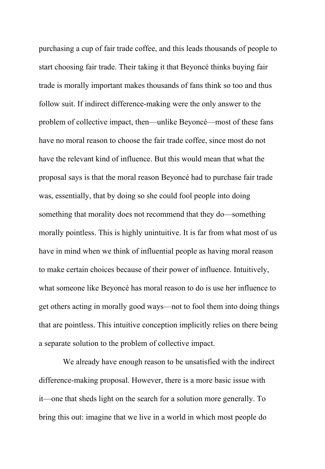purchasing a cup of fair trade coffee, and this leads thousands of people to start choosing fair trade. Their taking it that Beyoncé thinks buying fair trade is morally important makes thousands of fans think so too and thus follow suit. If indirect difference-making were the only answer to the problem of collective impact, then—unlike Beyoncé—most of these fans have no moral reason to choose the fair trade coffee, since most do not have the relevant kind of influence. But this would mean that what the proposal says is that the moral reason Beyoncé had to purchase fair trade was, essentially, that by doing so she could fool people into doing something that morality does not recommend that they do—something morally pointless. This is highly unintuitive. It is far from what most of us have in mind when we think of influential people as having moral reason to make certain choices because of their power of influence. Intuitively, what someone like Beyoncé has moral reason to do is use her influence to get others acting in morally good ways—not to fool them into doing things that are pointless. This intuitive conception implicitly relies on there being a separate solution to the problem of collective impact.

We already have enough reason to be unsatisfied with the indirect difference-making proposal. However, there is a more basic issue with it—one that sheds light on the search for a solution more generally. To bring this out: imagine that we live in a world in which most people do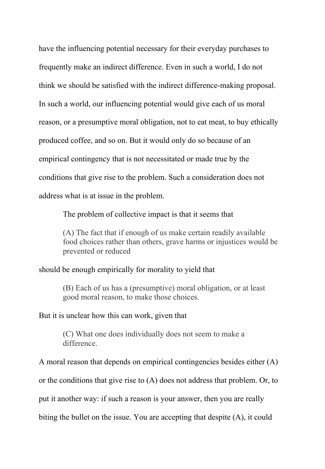have the influencing potential necessary for their everyday purchases to frequently make an indirect difference. Even in such a world, I do not think we should be satisfied with the indirect difference-making proposal. In such a world, our influencing potential would give each of us moral reason, or a presumptive moral obligation, not to eat meat, to buy ethically produced coffee, and so on. But it would only do so because of an empirical contingency that is not necessitated or made true by the conditions that give rise to the problem. Such a consideration does not address what is at issue in the problem.

The problem of collective impact is that it seems that

(A) The fact that if enough of us make certain readily available food choices rather than others, grave harms or injustices would be prevented or reduced

#### should be enough empirically for morality to yield that

(B) Each of us has a (presumptive) moral obligation, or at least good moral reason, to make those choices.

#### But it is unclear how this can work, given that

(C) What one does individually does not seem to make a difference.

A moral reason that depends on empirical contingencies besides either (A) or the conditions that give rise to (A) does not address that problem. Or, to put it another way: if such a reason is your answer, then you are really biting the bullet on the issue. You are accepting that despite (A), it could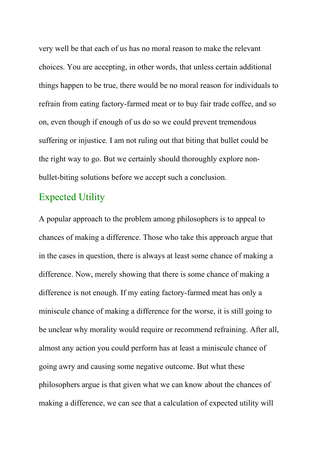very well be that each of us has no moral reason to make the relevant choices. You are accepting, in other words, that unless certain additional things happen to be true, there would be no moral reason for individuals to refrain from eating factory-farmed meat or to buy fair trade coffee, and so on, even though if enough of us do so we could prevent tremendous suffering or injustice. I am not ruling out that biting that bullet could be the right way to go. But we certainly should thoroughly explore nonbullet-biting solutions before we accept such a conclusion.

#### Expected Utility

A popular approach to the problem among philosophers is to appeal to chances of making a difference. Those who take this approach argue that in the cases in question, there is always at least some chance of making a difference. Now, merely showing that there is some chance of making a difference is not enough. If my eating factory-farmed meat has only a miniscule chance of making a difference for the worse, it is still going to be unclear why morality would require or recommend refraining. After all, almost any action you could perform has at least a miniscule chance of going awry and causing some negative outcome. But what these philosophers argue is that given what we can know about the chances of making a difference, we can see that a calculation of expected utility will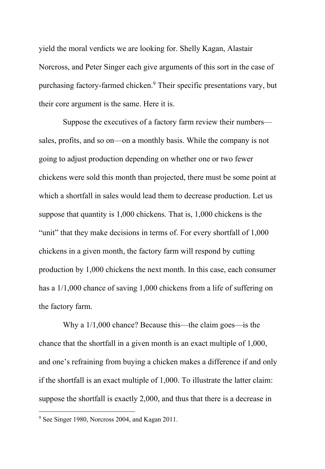yield the moral verdicts we are looking for. Shelly Kagan, Alastair Norcross, and Peter Singer each give arguments of this sort in the case of purchasing factory-farmed chicken.9 Their specific presentations vary, but their core argument is the same. Here it is.

Suppose the executives of a factory farm review their numbers sales, profits, and so on—on a monthly basis. While the company is not going to adjust production depending on whether one or two fewer chickens were sold this month than projected, there must be some point at which a shortfall in sales would lead them to decrease production. Let us suppose that quantity is 1,000 chickens. That is, 1,000 chickens is the "unit" that they make decisions in terms of. For every shortfall of 1,000 chickens in a given month, the factory farm will respond by cutting production by 1,000 chickens the next month. In this case, each consumer has a 1/1,000 chance of saving 1,000 chickens from a life of suffering on the factory farm.

Why a 1/1,000 chance? Because this—the claim goes—is the chance that the shortfall in a given month is an exact multiple of 1,000, and one's refraining from buying a chicken makes a difference if and only if the shortfall is an exact multiple of 1,000. To illustrate the latter claim: suppose the shortfall is exactly 2,000, and thus that there is a decrease in

<sup>9</sup> See Singer 1980, Norcross 2004, and Kagan 2011.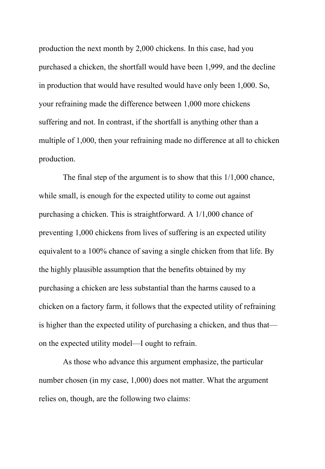production the next month by 2,000 chickens. In this case, had you purchased a chicken, the shortfall would have been 1,999, and the decline in production that would have resulted would have only been 1,000. So, your refraining made the difference between 1,000 more chickens suffering and not. In contrast, if the shortfall is anything other than a multiple of 1,000, then your refraining made no difference at all to chicken production.

The final step of the argument is to show that this 1/1,000 chance, while small, is enough for the expected utility to come out against purchasing a chicken. This is straightforward. A 1/1,000 chance of preventing 1,000 chickens from lives of suffering is an expected utility equivalent to a 100% chance of saving a single chicken from that life. By the highly plausible assumption that the benefits obtained by my purchasing a chicken are less substantial than the harms caused to a chicken on a factory farm, it follows that the expected utility of refraining is higher than the expected utility of purchasing a chicken, and thus that on the expected utility model—I ought to refrain.

As those who advance this argument emphasize, the particular number chosen (in my case, 1,000) does not matter. What the argument relies on, though, are the following two claims: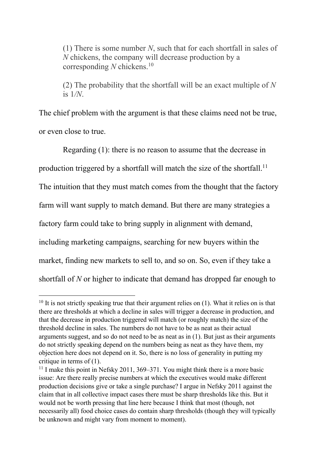(1) There is some number *N*, such that for each shortfall in sales of *N* chickens, the company will decrease production by a corresponding *N* chickens.10

(2) The probability that the shortfall will be an exact multiple of *N*  is 1*/N*.

The chief problem with the argument is that these claims need not be true, or even close to true.

Regarding (1): there is no reason to assume that the decrease in production triggered by a shortfall will match the size of the shortfall.<sup>11</sup> The intuition that they must match comes from the thought that the factory farm will want supply to match demand. But there are many strategies a factory farm could take to bring supply in alignment with demand, including marketing campaigns, searching for new buyers within the market, finding new markets to sell to, and so on. So, even if they take a shortfall of *N* or higher to indicate that demand has dropped far enough to

 $10$  It is not strictly speaking true that their argument relies on (1). What it relies on is that there are thresholds at which a decline in sales will trigger a decrease in production, and that the decrease in production triggered will match (or roughly match) the size of the threshold decline in sales. The numbers do not have to be as neat as their actual arguments suggest, and so do not need to be as neat as in (1). But just as their arguments do not strictly speaking depend on the numbers being as neat as they have them, my objection here does not depend on it. So, there is no loss of generality in putting my critique in terms of (1).

<sup>&</sup>lt;sup>11</sup> I make this point in Nefsky 2011, 369–371. You might think there is a more basic issue: Are there really precise numbers at which the executives would make different production decisions give or take a single purchase? I argue in Nefsky 2011 against the claim that in all collective impact cases there must be sharp thresholds like this. But it would not be worth pressing that line here because I think that most (though, not necessarily all) food choice cases do contain sharp thresholds (though they will typically be unknown and might vary from moment to moment).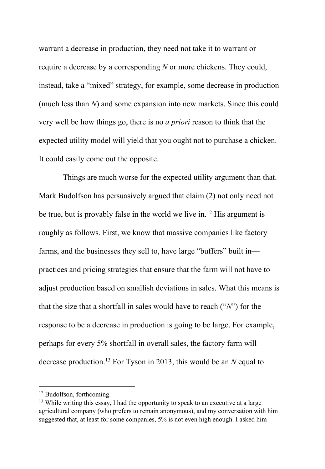warrant a decrease in production, they need not take it to warrant or require a decrease by a corresponding *N* or more chickens. They could, instead, take a "mixed" strategy, for example, some decrease in production (much less than *N*) and some expansion into new markets. Since this could very well be how things go, there is no *a priori* reason to think that the expected utility model will yield that you ought not to purchase a chicken. It could easily come out the opposite.

Things are much worse for the expected utility argument than that. Mark Budolfson has persuasively argued that claim (2) not only need not be true, but is provably false in the world we live in.<sup>12</sup> His argument is roughly as follows. First, we know that massive companies like factory farms, and the businesses they sell to, have large "buffers" built in practices and pricing strategies that ensure that the farm will not have to adjust production based on smallish deviations in sales. What this means is that the size that a shortfall in sales would have to reach ("*N*") for the response to be a decrease in production is going to be large. For example, perhaps for every 5% shortfall in overall sales, the factory farm will decrease production.13 For Tyson in 2013, this would be an *N* equal to

<sup>12</sup> Budolfson, forthcoming.

 $13$  While writing this essay, I had the opportunity to speak to an executive at a large agricultural company (who prefers to remain anonymous), and my conversation with him suggested that, at least for some companies, 5% is not even high enough. I asked him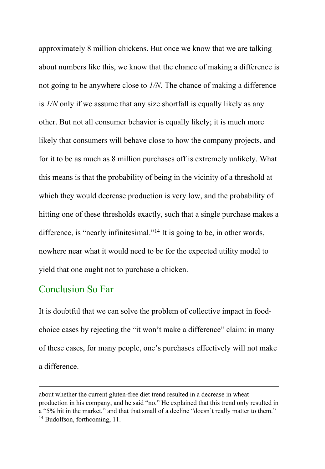approximately 8 million chickens. But once we know that we are talking about numbers like this, we know that the chance of making a difference is not going to be anywhere close to *1/N*. The chance of making a difference is *1/N* only if we assume that any size shortfall is equally likely as any other. But not all consumer behavior is equally likely; it is much more likely that consumers will behave close to how the company projects, and for it to be as much as 8 million purchases off is extremely unlikely. What this means is that the probability of being in the vicinity of a threshold at which they would decrease production is very low, and the probability of hitting one of these thresholds exactly, such that a single purchase makes a difference, is "nearly infinitesimal."<sup>14</sup> It is going to be, in other words, nowhere near what it would need to be for the expected utility model to yield that one ought not to purchase a chicken.

#### Conclusion So Far

It is doubtful that we can solve the problem of collective impact in foodchoice cases by rejecting the "it won't make a difference" claim: in many of these cases, for many people, one's purchases effectively will not make a difference.

about whether the current gluten-free diet trend resulted in a decrease in wheat production in his company, and he said "no." He explained that this trend only resulted in a "5% hit in the market," and that that small of a decline "doesn't really matter to them." <sup>14</sup> Budolfson, forthcoming, 11.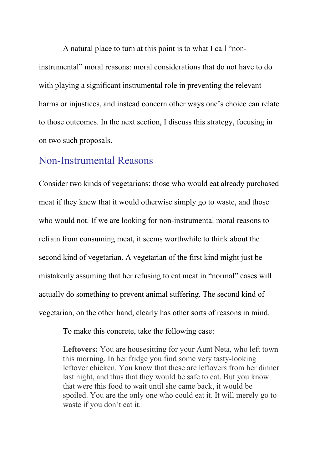A natural place to turn at this point is to what I call "noninstrumental" moral reasons: moral considerations that do not have to do with playing a significant instrumental role in preventing the relevant harms or injustices, and instead concern other ways one's choice can relate to those outcomes. In the next section, I discuss this strategy, focusing in on two such proposals.

## Non-Instrumental Reasons

Consider two kinds of vegetarians: those who would eat already purchased meat if they knew that it would otherwise simply go to waste, and those who would not. If we are looking for non-instrumental moral reasons to refrain from consuming meat, it seems worthwhile to think about the second kind of vegetarian. A vegetarian of the first kind might just be mistakenly assuming that her refusing to eat meat in "normal" cases will actually do something to prevent animal suffering. The second kind of vegetarian, on the other hand, clearly has other sorts of reasons in mind.

To make this concrete, take the following case:

**Leftovers:** You are housesitting for your Aunt Neta, who left town this morning. In her fridge you find some very tasty-looking leftover chicken. You know that these are leftovers from her dinner last night, and thus that they would be safe to eat. But you know that were this food to wait until she came back, it would be spoiled. You are the only one who could eat it. It will merely go to waste if you don't eat it.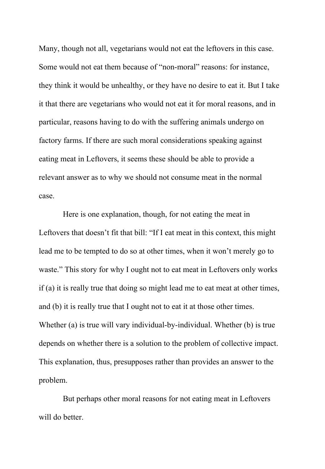Many, though not all, vegetarians would not eat the leftovers in this case. Some would not eat them because of "non-moral" reasons: for instance, they think it would be unhealthy, or they have no desire to eat it. But I take it that there are vegetarians who would not eat it for moral reasons, and in particular, reasons having to do with the suffering animals undergo on factory farms. If there are such moral considerations speaking against eating meat in Leftovers, it seems these should be able to provide a relevant answer as to why we should not consume meat in the normal case.

Here is one explanation, though, for not eating the meat in Leftovers that doesn't fit that bill: "If I eat meat in this context, this might lead me to be tempted to do so at other times, when it won't merely go to waste." This story for why I ought not to eat meat in Leftovers only works if (a) it is really true that doing so might lead me to eat meat at other times, and (b) it is really true that I ought not to eat it at those other times. Whether (a) is true will vary individual-by-individual. Whether (b) is true depends on whether there is a solution to the problem of collective impact. This explanation, thus, presupposes rather than provides an answer to the problem.

But perhaps other moral reasons for not eating meat in Leftovers will do better.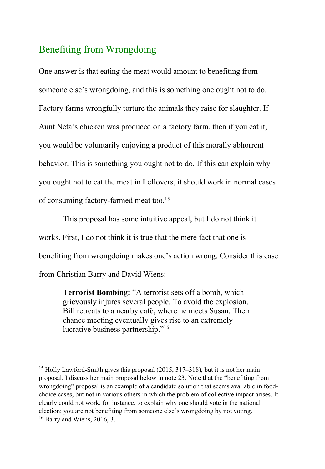# Benefiting from Wrongdoing

One answer is that eating the meat would amount to benefiting from someone else's wrongdoing, and this is something one ought not to do. Factory farms wrongfully torture the animals they raise for slaughter. If Aunt Neta's chicken was produced on a factory farm, then if you eat it, you would be voluntarily enjoying a product of this morally abhorrent behavior. This is something you ought not to do. If this can explain why you ought not to eat the meat in Leftovers, it should work in normal cases of consuming factory-farmed meat too.<sup>15</sup>

This proposal has some intuitive appeal, but I do not think it works. First, I do not think it is true that the mere fact that one is benefiting from wrongdoing makes one's action wrong. Consider this case from Christian Barry and David Wiens:

**Terrorist Bombing:** "A terrorist sets off a bomb, which grievously injures several people. To avoid the explosion, Bill retreats to a nearby café, where he meets Susan. Their chance meeting eventually gives rise to an extremely lucrative business partnership."<sup>16</sup>

<sup>&</sup>lt;sup>15</sup> Holly Lawford-Smith gives this proposal (2015, 317–318), but it is not her main proposal. I discuss her main proposal below in note 23. Note that the "benefiting from wrongdoing" proposal is an example of a candidate solution that seems available in foodchoice cases, but not in various others in which the problem of collective impact arises. It clearly could not work, for instance, to explain why one should vote in the national election: you are not benefiting from someone else's wrongdoing by not voting.  $16$  Barry and Wiens, 2016, 3.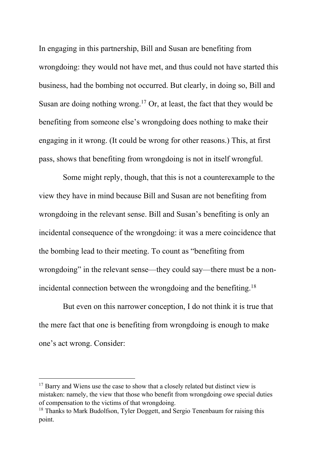In engaging in this partnership, Bill and Susan are benefiting from wrongdoing: they would not have met, and thus could not have started this business, had the bombing not occurred. But clearly, in doing so, Bill and Susan are doing nothing wrong.<sup>17</sup> Or, at least, the fact that they would be benefiting from someone else's wrongdoing does nothing to make their engaging in it wrong. (It could be wrong for other reasons.) This, at first pass, shows that benefiting from wrongdoing is not in itself wrongful.

Some might reply, though, that this is not a counterexample to the view they have in mind because Bill and Susan are not benefiting from wrongdoing in the relevant sense. Bill and Susan's benefiting is only an incidental consequence of the wrongdoing: it was a mere coincidence that the bombing lead to their meeting. To count as "benefiting from wrongdoing" in the relevant sense—they could say—there must be a nonincidental connection between the wrongdoing and the benefiting.<sup>18</sup>

But even on this narrower conception, I do not think it is true that the mere fact that one is benefiting from wrongdoing is enough to make one's act wrong. Consider:

 $17$  Barry and Wiens use the case to show that a closely related but distinct view is mistaken: namely, the view that those who benefit from wrongdoing owe special duties of compensation to the victims of that wrongdoing.

<sup>&</sup>lt;sup>18</sup> Thanks to Mark Budolfson, Tyler Doggett, and Sergio Tenenbaum for raising this point.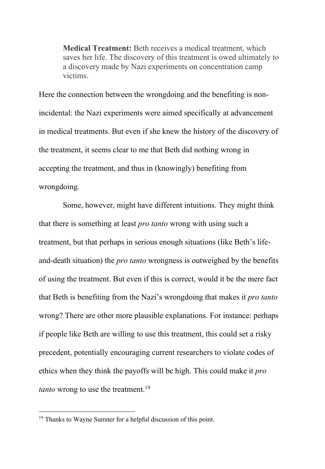**Medical Treatment:** Beth receives a medical treatment, which saves her life. The discovery of this treatment is owed ultimately to a discovery made by Nazi experiments on concentration camp victims.

Here the connection between the wrongdoing and the benefiting is nonincidental: the Nazi experiments were aimed specifically at advancement in medical treatments. But even if she knew the history of the discovery of the treatment, it seems clear to me that Beth did nothing wrong in accepting the treatment, and thus in (knowingly) benefiting from wrongdoing.

Some, however, might have different intuitions. They might think that there is something at least *pro tanto* wrong with using such a treatment, but that perhaps in serious enough situations (like Beth's lifeand-death situation) the *pro tanto* wrongness is outweighed by the benefits of using the treatment. But even if this is correct, would it be the mere fact that Beth is benefiting from the Nazi's wrongdoing that makes it *pro tanto* wrong? There are other more plausible explanations. For instance: perhaps if people like Beth are willing to use this treatment, this could set a risky precedent, potentially encouraging current researchers to violate codes of ethics when they think the payoffs will be high. This could make it *pro tanto* wrong to use the treatment.<sup>19</sup>

 $19$  Thanks to Wayne Sumner for a helpful discussion of this point.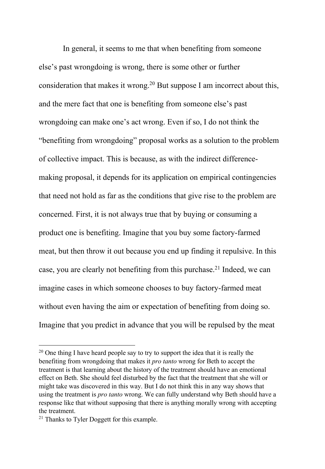In general, it seems to me that when benefiting from someone else's past wrongdoing is wrong, there is some other or further consideration that makes it wrong.<sup>20</sup> But suppose I am incorrect about this, and the mere fact that one is benefiting from someone else's past wrongdoing can make one's act wrong. Even if so, I do not think the "benefiting from wrongdoing" proposal works as a solution to the problem of collective impact. This is because, as with the indirect differencemaking proposal, it depends for its application on empirical contingencies that need not hold as far as the conditions that give rise to the problem are concerned. First, it is not always true that by buying or consuming a product one is benefiting. Imagine that you buy some factory-farmed meat, but then throw it out because you end up finding it repulsive. In this case, you are clearly not benefiting from this purchase.<sup>21</sup> Indeed, we can imagine cases in which someone chooses to buy factory-farmed meat without even having the aim or expectation of benefiting from doing so. Imagine that you predict in advance that you will be repulsed by the meat

 $20$  One thing I have heard people say to try to support the idea that it is really the benefiting from wrongdoing that makes it *pro tanto* wrong for Beth to accept the treatment is that learning about the history of the treatment should have an emotional effect on Beth. She should feel disturbed by the fact that the treatment that she will or might take was discovered in this way. But I do not think this in any way shows that using the treatment is *pro tanto* wrong. We can fully understand why Beth should have a response like that without supposing that there is anything morally wrong with accepting the treatment.

<sup>&</sup>lt;sup>21</sup> Thanks to Tyler Doggett for this example.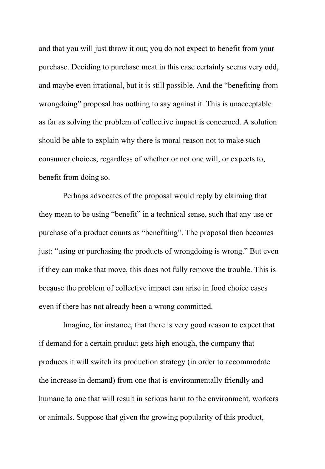and that you will just throw it out; you do not expect to benefit from your purchase. Deciding to purchase meat in this case certainly seems very odd, and maybe even irrational, but it is still possible. And the "benefiting from wrongdoing" proposal has nothing to say against it. This is unacceptable as far as solving the problem of collective impact is concerned. A solution should be able to explain why there is moral reason not to make such consumer choices, regardless of whether or not one will, or expects to, benefit from doing so.

Perhaps advocates of the proposal would reply by claiming that they mean to be using "benefit" in a technical sense, such that any use or purchase of a product counts as "benefiting". The proposal then becomes just: "using or purchasing the products of wrongdoing is wrong." But even if they can make that move, this does not fully remove the trouble. This is because the problem of collective impact can arise in food choice cases even if there has not already been a wrong committed.

Imagine, for instance, that there is very good reason to expect that if demand for a certain product gets high enough, the company that produces it will switch its production strategy (in order to accommodate the increase in demand) from one that is environmentally friendly and humane to one that will result in serious harm to the environment, workers or animals. Suppose that given the growing popularity of this product,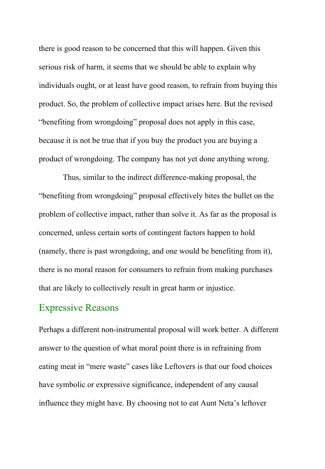there is good reason to be concerned that this will happen. Given this serious risk of harm, it seems that we should be able to explain why individuals ought, or at least have good reason, to refrain from buying this product. So, the problem of collective impact arises here. But the revised "benefiting from wrongdoing" proposal does not apply in this case, because it is not be true that if you buy the product you are buying a product of wrongdoing. The company has not yet done anything wrong.

Thus, similar to the indirect difference-making proposal, the "benefiting from wrongdoing" proposal effectively bites the bullet on the problem of collective impact, rather than solve it. As far as the proposal is concerned, unless certain sorts of contingent factors happen to hold (namely, there is past wrongdoing, and one would be benefiting from it), there is no moral reason for consumers to refrain from making purchases that are likely to collectively result in great harm or injustice.

### Expressive Reasons

Perhaps a different non-instrumental proposal will work better. A different answer to the question of what moral point there is in refraining from eating meat in "mere waste" cases like Leftovers is that our food choices have symbolic or expressive significance, independent of any causal influence they might have. By choosing not to eat Aunt Neta's leftover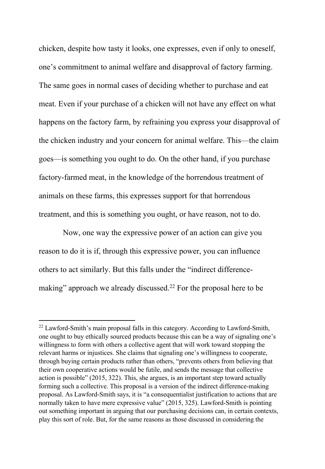chicken, despite how tasty it looks, one expresses, even if only to oneself, one's commitment to animal welfare and disapproval of factory farming. The same goes in normal cases of deciding whether to purchase and eat meat. Even if your purchase of a chicken will not have any effect on what happens on the factory farm, by refraining you express your disapproval of the chicken industry and your concern for animal welfare. This—the claim goes—is something you ought to do. On the other hand, if you purchase factory-farmed meat, in the knowledge of the horrendous treatment of animals on these farms, this expresses support for that horrendous treatment, and this is something you ought, or have reason, not to do.

Now, one way the expressive power of an action can give you reason to do it is if, through this expressive power, you can influence others to act similarly. But this falls under the "indirect differencemaking" approach we already discussed.<sup>22</sup> For the proposal here to be

<sup>&</sup>lt;sup>22</sup> Lawford-Smith's main proposal falls in this category. According to Lawford-Smith, one ought to buy ethically sourced products because this can be a way of signaling one's willingness to form with others a collective agent that will work toward stopping the relevant harms or injustices. She claims that signaling one's willingness to cooperate, through buying certain products rather than others, "prevents others from believing that their own cooperative actions would be futile, and sends the message that collective action is possible" (2015, 322). This, she argues, is an important step toward actually forming such a collective. This proposal is a version of the indirect difference-making proposal. As Lawford-Smith says, it is "a consequentialist justification to actions that are normally taken to have mere expressive value" (2015, 325). Lawford-Smith is pointing out something important in arguing that our purchasing decisions can, in certain contexts, play this sort of role. But, for the same reasons as those discussed in considering the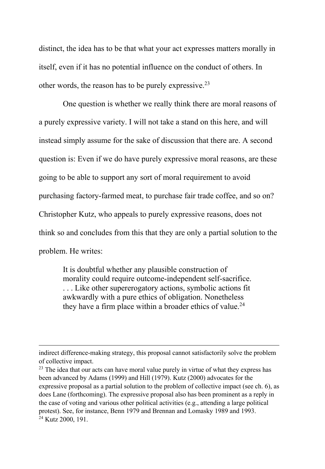distinct, the idea has to be that what your act expresses matters morally in itself, even if it has no potential influence on the conduct of others. In other words, the reason has to be purely expressive.<sup>23</sup>

One question is whether we really think there are moral reasons of a purely expressive variety. I will not take a stand on this here, and will instead simply assume for the sake of discussion that there are. A second question is: Even if we do have purely expressive moral reasons, are these going to be able to support any sort of moral requirement to avoid purchasing factory-farmed meat, to purchase fair trade coffee, and so on? Christopher Kutz, who appeals to purely expressive reasons, does not think so and concludes from this that they are only a partial solution to the problem. He writes:

It is doubtful whether any plausible construction of morality could require outcome-independent self-sacrifice. . . . Like other supererogatory actions, symbolic actions fit awkwardly with a pure ethics of obligation. Nonetheless they have a firm place within a broader ethics of value.<sup>24</sup>

indirect difference-making strategy, this proposal cannot satisfactorily solve the problem of collective impact.

 $23$  The idea that our acts can have moral value purely in virtue of what they express has been advanced by Adams (1999) and Hill (1979). Kutz (2000) advocates for the expressive proposal as a partial solution to the problem of collective impact (see ch. 6), as does Lane (forthcoming). The expressive proposal also has been prominent as a reply in the case of voting and various other political activities (e.g., attending a large political protest). See, for instance, Benn 1979 and Brennan and Lomasky 1989 and 1993. <sup>24</sup> Kutz 2000, 191.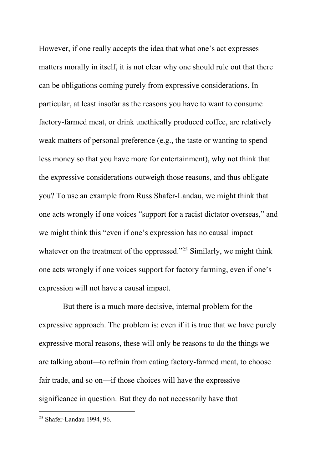However, if one really accepts the idea that what one's act expresses matters morally in itself, it is not clear why one should rule out that there can be obligations coming purely from expressive considerations. In particular, at least insofar as the reasons you have to want to consume factory-farmed meat, or drink unethically produced coffee, are relatively weak matters of personal preference (e.g., the taste or wanting to spend less money so that you have more for entertainment), why not think that the expressive considerations outweigh those reasons, and thus obligate you? To use an example from Russ Shafer-Landau, we might think that one acts wrongly if one voices "support for a racist dictator overseas," and we might think this "even if one's expression has no causal impact whatever on the treatment of the oppressed."<sup>25</sup> Similarly, we might think one acts wrongly if one voices support for factory farming, even if one's expression will not have a causal impact.

But there is a much more decisive, internal problem for the expressive approach. The problem is: even if it is true that we have purely expressive moral reasons, these will only be reasons to do the things we are talking about*—*to refrain from eating factory-farmed meat, to choose fair trade, and so on—if those choices will have the expressive significance in question. But they do not necessarily have that

<sup>25</sup> Shafer-Landau 1994, 96.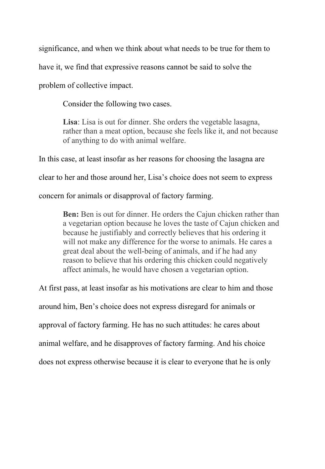significance, and when we think about what needs to be true for them to have it, we find that expressive reasons cannot be said to solve the problem of collective impact.

Consider the following two cases.

**Lisa**: Lisa is out for dinner. She orders the vegetable lasagna, rather than a meat option, because she feels like it, and not because of anything to do with animal welfare.

In this case, at least insofar as her reasons for choosing the lasagna are clear to her and those around her, Lisa's choice does not seem to express concern for animals or disapproval of factory farming.

> **Ben:** Ben is out for dinner. He orders the Cajun chicken rather than a vegetarian option because he loves the taste of Cajun chicken and because he justifiably and correctly believes that his ordering it will not make any difference for the worse to animals. He cares a great deal about the well-being of animals, and if he had any reason to believe that his ordering this chicken could negatively affect animals, he would have chosen a vegetarian option.

At first pass, at least insofar as his motivations are clear to him and those around him, Ben's choice does not express disregard for animals or approval of factory farming. He has no such attitudes: he cares about animal welfare, and he disapproves of factory farming. And his choice does not express otherwise because it is clear to everyone that he is only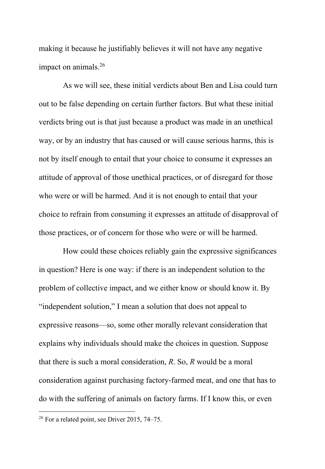making it because he justifiably believes it will not have any negative impact on animals. $26$ 

As we will see, these initial verdicts about Ben and Lisa could turn out to be false depending on certain further factors. But what these initial verdicts bring out is that just because a product was made in an unethical way, or by an industry that has caused or will cause serious harms, this is not by itself enough to entail that your choice to consume it expresses an attitude of approval of those unethical practices, or of disregard for those who were or will be harmed. And it is not enough to entail that your choice to refrain from consuming it expresses an attitude of disapproval of those practices, or of concern for those who were or will be harmed.

How could these choices reliably gain the expressive significances in question? Here is one way: if there is an independent solution to the problem of collective impact, and we either know or should know it. By "independent solution," I mean a solution that does not appeal to expressive reasons—so, some other morally relevant consideration that explains why individuals should make the choices in question. Suppose that there is such a moral consideration, *R*. So, *R* would be a moral consideration against purchasing factory-farmed meat, and one that has to do with the suffering of animals on factory farms. If I know this, or even

 $26$  For a related point, see Driver 2015, 74–75.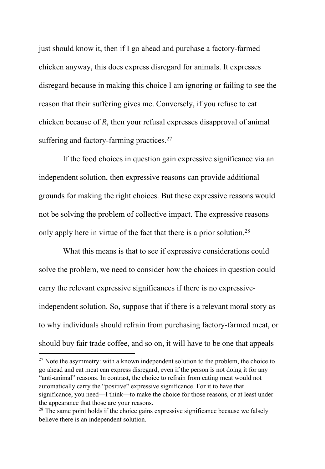just should know it, then if I go ahead and purchase a factory-farmed chicken anyway, this does express disregard for animals. It expresses disregard because in making this choice I am ignoring or failing to see the reason that their suffering gives me. Conversely, if you refuse to eat chicken because of *R*, then your refusal expresses disapproval of animal suffering and factory-farming practices.<sup>27</sup>

If the food choices in question gain expressive significance via an independent solution, then expressive reasons can provide additional grounds for making the right choices. But these expressive reasons would not be solving the problem of collective impact. The expressive reasons only apply here in virtue of the fact that there is a prior solution.<sup>28</sup>

What this means is that to see if expressive considerations could solve the problem, we need to consider how the choices in question could carry the relevant expressive significances if there is no expressiveindependent solution. So, suppose that if there is a relevant moral story as to why individuals should refrain from purchasing factory-farmed meat, or should buy fair trade coffee, and so on, it will have to be one that appeals

 $27$  Note the asymmetry: with a known independent solution to the problem, the choice to go ahead and eat meat can express disregard, even if the person is not doing it for any "anti-animal" reasons. In contrast, the choice to refrain from eating meat would not automatically carry the "positive" expressive significance. For it to have that significance, you need—I think—to make the choice for those reasons, or at least under the appearance that those are your reasons.

 $28$  The same point holds if the choice gains expressive significance because we falsely believe there is an independent solution.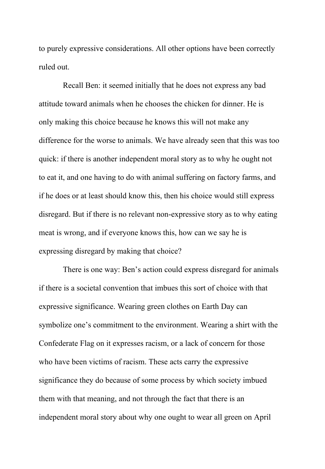to purely expressive considerations. All other options have been correctly ruled out.

Recall Ben: it seemed initially that he does not express any bad attitude toward animals when he chooses the chicken for dinner. He is only making this choice because he knows this will not make any difference for the worse to animals. We have already seen that this was too quick: if there is another independent moral story as to why he ought not to eat it, and one having to do with animal suffering on factory farms, and if he does or at least should know this, then his choice would still express disregard. But if there is no relevant non-expressive story as to why eating meat is wrong, and if everyone knows this, how can we say he is expressing disregard by making that choice?

There is one way: Ben's action could express disregard for animals if there is a societal convention that imbues this sort of choice with that expressive significance. Wearing green clothes on Earth Day can symbolize one's commitment to the environment. Wearing a shirt with the Confederate Flag on it expresses racism, or a lack of concern for those who have been victims of racism. These acts carry the expressive significance they do because of some process by which society imbued them with that meaning, and not through the fact that there is an independent moral story about why one ought to wear all green on April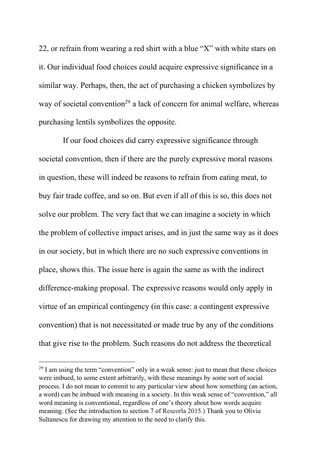22, or refrain from wearing a red shirt with a blue "X" with white stars on it. Our individual food choices could acquire expressive significance in a similar way. Perhaps, then, the act of purchasing a chicken symbolizes by way of societal convention<sup>29</sup> a lack of concern for animal welfare, whereas purchasing lentils symbolizes the opposite.

If our food choices did carry expressive significance through societal convention, then if there are the purely expressive moral reasons in question, these will indeed be reasons to refrain from eating meat, to buy fair trade coffee, and so on. But even if all of this is so, this does not solve our problem. The very fact that we can imagine a society in which the problem of collective impact arises, and in just the same way as it does in our society, but in which there are no such expressive conventions in place, shows this. The issue here is again the same as with the indirect difference-making proposal. The expressive reasons would only apply in virtue of an empirical contingency (in this case: a contingent expressive convention) that is not necessitated or made true by any of the conditions that give rise to the problem. Such reasons do not address the theoretical

 $29$  I am using the term "convention" only in a weak sense: just to mean that these choices were imbued, to some extent arbitrarily, with these meanings by some sort of social process. I do not mean to commit to any particular view about how something (an action, a word) can be imbued with meaning in a society. In this weak sense of "convention," all word meaning is conventional, regardless of one's theory about how words acquire meaning. (See the introduction to section 7 of Rescorla 2015.) Thank you to Olivia Sultanescu for drawing my attention to the need to clarify this.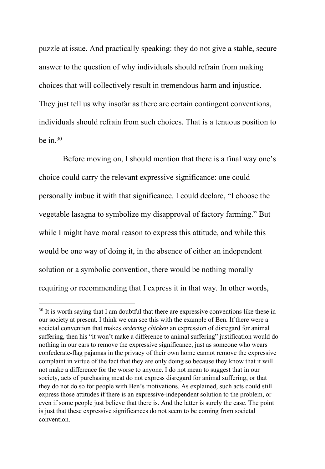puzzle at issue. And practically speaking: they do not give a stable, secure answer to the question of why individuals should refrain from making choices that will collectively result in tremendous harm and injustice. They just tell us why insofar as there are certain contingent conventions, individuals should refrain from such choices. That is a tenuous position to be in. $30$ 

Before moving on, I should mention that there is a final way one's choice could carry the relevant expressive significance: one could personally imbue it with that significance. I could declare, "I choose the vegetable lasagna to symbolize my disapproval of factory farming." But while I might have moral reason to express this attitude, and while this would be one way of doing it, in the absence of either an independent solution or a symbolic convention, there would be nothing morally requiring or recommending that I express it in that way*.* In other words,

<sup>&</sup>lt;sup>30</sup> It is worth saying that I am doubtful that there are expressive conventions like these in our society at present. I think we can see this with the example of Ben. If there were a societal convention that makes *ordering chicken* an expression of disregard for animal suffering, then his "it won't make a difference to animal suffering" justification would do nothing in our ears to remove the expressive significance, just as someone who wears confederate-flag pajamas in the privacy of their own home cannot remove the expressive complaint in virtue of the fact that they are only doing so because they know that it will not make a difference for the worse to anyone. I do not mean to suggest that in our society, acts of purchasing meat do not express disregard for animal suffering, or that they do not do so for people with Ben's motivations. As explained, such acts could still express those attitudes if there is an expressive-independent solution to the problem, or even if some people just believe that there is. And the latter is surely the case. The point is just that these expressive significances do not seem to be coming from societal convention.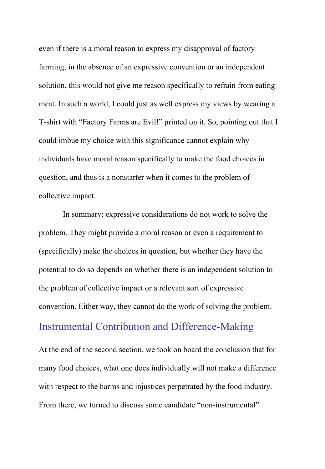even if there is a moral reason to express my disapproval of factory farming, in the absence of an expressive convention or an independent solution, this would not give me reason specifically to refrain from eating meat. In such a world, I could just as well express my views by wearing a T-shirt with "Factory Farms are Evil!" printed on it. So, pointing out that I could imbue my choice with this significance cannot explain why individuals have moral reason specifically to make the food choices in question, and thus is a nonstarter when it comes to the problem of collective impact.

In summary: expressive considerations do not work to solve the problem. They might provide a moral reason or even a requirement to (specifically) make the choices in question, but whether they have the potential to do so depends on whether there is an independent solution to the problem of collective impact or a relevant sort of expressive convention. Either way, they cannot do the work of solving the problem. Instrumental Contribution and Difference-Making

At the end of the second section, we took on board the conclusion that for many food choices, what one does individually will not make a difference with respect to the harms and injustices perpetrated by the food industry. From there, we turned to discuss some candidate "non-instrumental"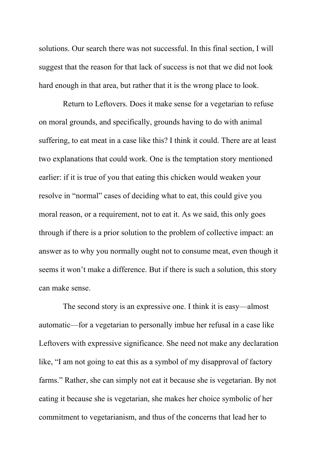solutions. Our search there was not successful. In this final section, I will suggest that the reason for that lack of success is not that we did not look hard enough in that area, but rather that it is the wrong place to look.

Return to Leftovers. Does it make sense for a vegetarian to refuse on moral grounds, and specifically, grounds having to do with animal suffering, to eat meat in a case like this? I think it could. There are at least two explanations that could work. One is the temptation story mentioned earlier: if it is true of you that eating this chicken would weaken your resolve in "normal" cases of deciding what to eat, this could give you moral reason, or a requirement, not to eat it. As we said, this only goes through if there is a prior solution to the problem of collective impact: an answer as to why you normally ought not to consume meat, even though it seems it won't make a difference. But if there is such a solution, this story can make sense.

The second story is an expressive one. I think it is easy—almost automatic—for a vegetarian to personally imbue her refusal in a case like Leftovers with expressive significance. She need not make any declaration like, "I am not going to eat this as a symbol of my disapproval of factory farms." Rather, she can simply not eat it because she is vegetarian. By not eating it because she is vegetarian, she makes her choice symbolic of her commitment to vegetarianism, and thus of the concerns that lead her to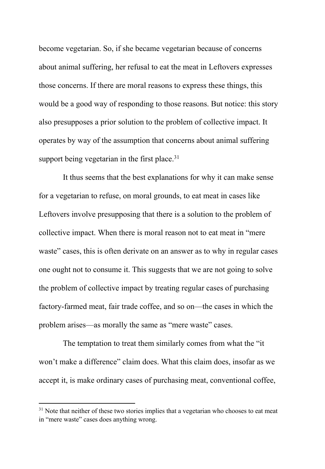become vegetarian. So, if she became vegetarian because of concerns about animal suffering, her refusal to eat the meat in Leftovers expresses those concerns. If there are moral reasons to express these things, this would be a good way of responding to those reasons. But notice: this story also presupposes a prior solution to the problem of collective impact. It operates by way of the assumption that concerns about animal suffering support being vegetarian in the first place. $31$ 

It thus seems that the best explanations for why it can make sense for a vegetarian to refuse, on moral grounds, to eat meat in cases like Leftovers involve presupposing that there is a solution to the problem of collective impact. When there is moral reason not to eat meat in "mere waste" cases, this is often derivate on an answer as to why in regular cases one ought not to consume it. This suggests that we are not going to solve the problem of collective impact by treating regular cases of purchasing factory-farmed meat, fair trade coffee, and so on—the cases in which the problem arises—as morally the same as "mere waste" cases.

The temptation to treat them similarly comes from what the "it won't make a difference" claim does. What this claim does, insofar as we accept it, is make ordinary cases of purchasing meat, conventional coffee,

<sup>&</sup>lt;sup>31</sup> Note that neither of these two stories implies that a vegetarian who chooses to eat meat in "mere waste" cases does anything wrong.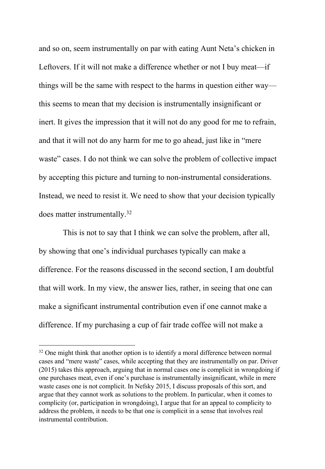and so on, seem instrumentally on par with eating Aunt Neta's chicken in Leftovers. If it will not make a difference whether or not I buy meat—if things will be the same with respect to the harms in question either way this seems to mean that my decision is instrumentally insignificant or inert. It gives the impression that it will not do any good for me to refrain, and that it will not do any harm for me to go ahead, just like in "mere waste" cases. I do not think we can solve the problem of collective impact by accepting this picture and turning to non-instrumental considerations. Instead, we need to resist it. We need to show that your decision typically does matter instrumentally.<sup>32</sup>

This is not to say that I think we can solve the problem, after all, by showing that one's individual purchases typically can make a difference. For the reasons discussed in the second section, I am doubtful that will work. In my view, the answer lies, rather, in seeing that one can make a significant instrumental contribution even if one cannot make a difference. If my purchasing a cup of fair trade coffee will not make a

 $32$  One might think that another option is to identify a moral difference between normal cases and "mere waste" cases, while accepting that they are instrumentally on par. Driver (2015) takes this approach, arguing that in normal cases one is complicit in wrongdoing if one purchases meat, even if one's purchase is instrumentally insignificant, while in mere waste cases one is not complicit. In Nefsky 2015, I discuss proposals of this sort, and argue that they cannot work as solutions to the problem. In particular, when it comes to complicity (or, participation in wrongdoing), I argue that for an appeal to complicity to address the problem, it needs to be that one is complicit in a sense that involves real instrumental contribution.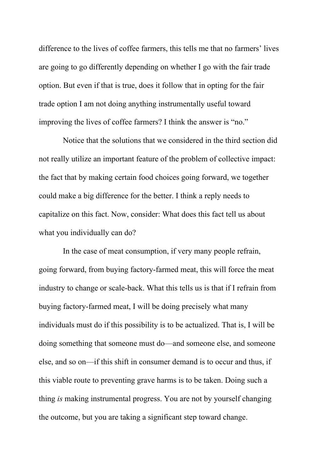difference to the lives of coffee farmers, this tells me that no farmers' lives are going to go differently depending on whether I go with the fair trade option. But even if that is true, does it follow that in opting for the fair trade option I am not doing anything instrumentally useful toward improving the lives of coffee farmers? I think the answer is "no."

Notice that the solutions that we considered in the third section did not really utilize an important feature of the problem of collective impact: the fact that by making certain food choices going forward, we together could make a big difference for the better. I think a reply needs to capitalize on this fact. Now, consider: What does this fact tell us about what you individually can do?

In the case of meat consumption, if very many people refrain, going forward, from buying factory-farmed meat, this will force the meat industry to change or scale-back. What this tells us is that if I refrain from buying factory-farmed meat, I will be doing precisely what many individuals must do if this possibility is to be actualized. That is, I will be doing something that someone must do—and someone else, and someone else, and so on—if this shift in consumer demand is to occur and thus, if this viable route to preventing grave harms is to be taken. Doing such a thing *is* making instrumental progress. You are not by yourself changing the outcome, but you are taking a significant step toward change.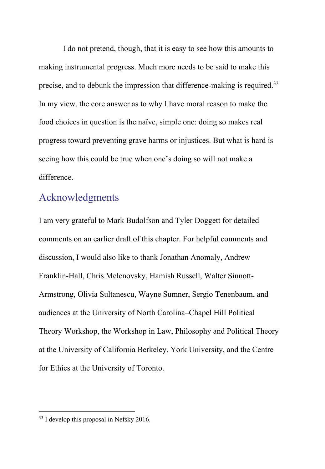I do not pretend, though, that it is easy to see how this amounts to making instrumental progress. Much more needs to be said to make this precise, and to debunk the impression that difference-making is required.<sup>33</sup> In my view, the core answer as to why I have moral reason to make the food choices in question is the naïve, simple one: doing so makes real progress toward preventing grave harms or injustices. But what is hard is seeing how this could be true when one's doing so will not make a difference.

### Acknowledgments

I am very grateful to Mark Budolfson and Tyler Doggett for detailed comments on an earlier draft of this chapter. For helpful comments and discussion, I would also like to thank Jonathan Anomaly, Andrew Franklin-Hall, Chris Melenovsky, Hamish Russell, Walter Sinnott-Armstrong, Olivia Sultanescu, Wayne Sumner, Sergio Tenenbaum, and audiences at the University of North Carolina–Chapel Hill Political Theory Workshop, the Workshop in Law, Philosophy and Political Theory at the University of California Berkeley, York University, and the Centre for Ethics at the University of Toronto.

<sup>&</sup>lt;sup>33</sup> I develop this proposal in Nefsky 2016.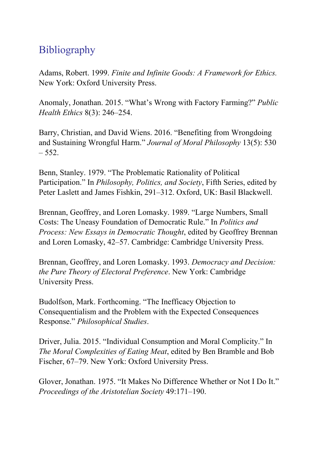# **Bibliography**

Adams, Robert. 1999. *Finite and Infinite Goods: A Framework for Ethics.* New York: Oxford University Press.

Anomaly, Jonathan. 2015. "What's Wrong with Factory Farming?" *Public Health Ethics* 8(3): 246–254.

Barry, Christian, and David Wiens. 2016. "Benefiting from Wrongdoing and Sustaining Wrongful Harm." *Journal of Moral Philosophy* 13(5): 530  $-552.$ 

Benn, Stanley. 1979. "The Problematic Rationality of Political Participation." In *Philosophy, Politics, and Society*, Fifth Series, edited by Peter Laslett and James Fishkin, 291–312. Oxford, UK: Basil Blackwell.

Brennan, Geoffrey, and Loren Lomasky. 1989. "Large Numbers, Small Costs: The Uneasy Foundation of Democratic Rule." In *Politics and Process: New Essays in Democratic Thought*, edited by Geoffrey Brennan and Loren Lomasky, 42–57. Cambridge: Cambridge University Press.

Brennan, Geoffrey, and Loren Lomasky. 1993. *Democracy and Decision: the Pure Theory of Electoral Preference*. New York: Cambridge University Press.

Budolfson, Mark. Forthcoming. "The Inefficacy Objection to Consequentialism and the Problem with the Expected Consequences Response." *Philosophical Studies*.

Driver, Julia. 2015. "Individual Consumption and Moral Complicity." In *The Moral Complexities of Eating Meat*, edited by Ben Bramble and Bob Fischer, 67–79. New York: Oxford University Press.

Glover, Jonathan. 1975. "It Makes No Difference Whether or Not I Do It." *Proceedings of the Aristotelian Society* 49:171–190.